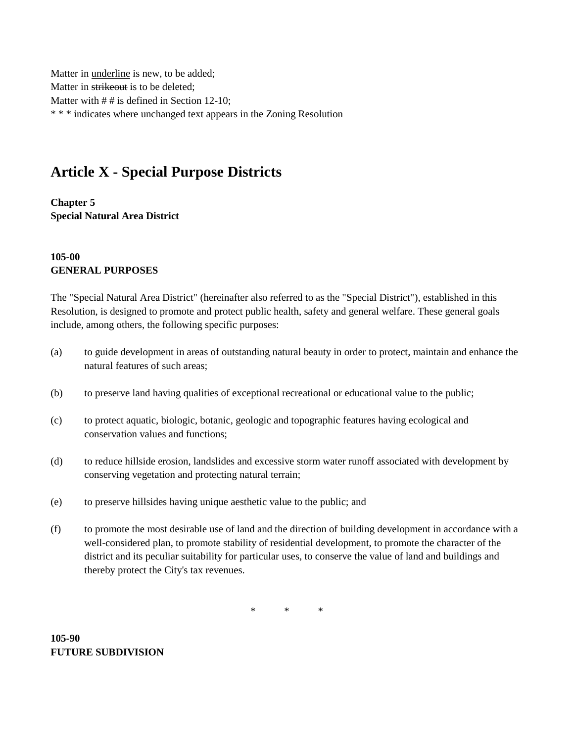Matter in underline is new, to be added; Matter in strikeout is to be deleted; Matter with  $# #$  is defined in Section 12-10; \* \* \* indicates where unchanged text appears in the Zoning Resolution

## **Article X - Special Purpose Districts**

**Chapter 5 Special Natural Area District**

## **105-00 GENERAL PURPOSES**

The "Special Natural Area District" (hereinafter also referred to as the "Special District"), established in this Resolution, is designed to promote and protect public health, safety and general welfare. These general goals include, among others, the following specific purposes:

- (a) to guide development in areas of outstanding natural beauty in order to protect, maintain and enhance the natural features of such areas;
- (b) to preserve land having qualities of exceptional recreational or educational value to the public;
- (c) to protect aquatic, biologic, botanic, geologic and topographic features having ecological and conservation values and functions;
- (d) to reduce hillside erosion, landslides and excessive storm water runoff associated with development by conserving vegetation and protecting natural terrain;
- (e) to preserve hillsides having unique aesthetic value to the public; and
- (f) to promote the most desirable use of land and the direction of building development in accordance with a well-considered plan, to promote stability of residential development, to promote the character of the district and its peculiar suitability for particular uses, to conserve the value of land and buildings and thereby protect the City's tax revenues.

\* \* \*

**105-90 FUTURE SUBDIVISION**